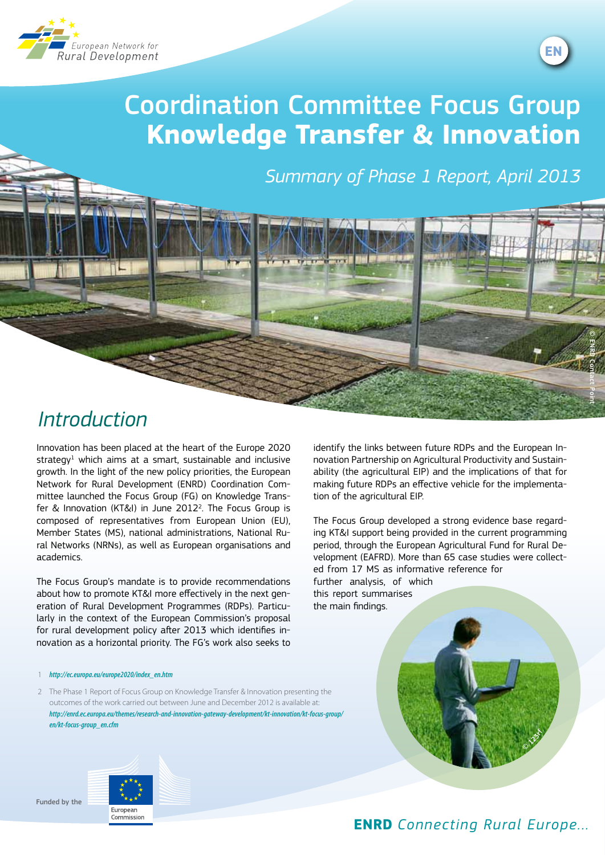



© ENRD Contact Point

# Coordination Committee Focus Group **Knowledge Transfer & Innovation**

*Summary of Phase 1 Report, April 2013*



Innovation has been placed at the heart of the Europe 2020 strategy $1$  which aims at a smart, sustainable and inclusive growth. In the light of the new policy priorities, the European Network for Rural Development (ENRD) Coordination Committee launched the Focus Group (FG) on Knowledge Transfer & Innovation (KT&I) in June 2012<sup>2</sup>. The Focus Group is composed of representatives from European Union (EU), Member States (MS), national administrations, National Rural Networks (NRNs), as well as European organisations and academics.

The Focus Group's mandate is to provide recommendations about how to promote KT&I more effectively in the next generation of Rural Development Programmes (RDPs). Particularly in the context of the European Commission's proposal for rural development policy after 2013 which identifies innovation as a horizontal priority. The FG's work also seeks to

1 *[http://ec.europa.eu/europe2020/index\\_en.htm](http://ec.europa.eu/europe2020/index_en.htm)*

2 The Phase 1 Report of Focus Group on Knowledge Transfer & Innovation presenting the outcomes of the work carried out between June and December 2012 is available at: *[http://enrd.ec.europa.eu/themes/research-and-innovation-gateway-development/kt-innovation/kt-focus-group/](http://enrd.ec.europa.eu/themes/research-and-innovation-gateway-development/kt-innovation/kt-focus-group/en/kt-focus-group_en.cfm) [en/kt-focus-group\\_en.cfm](http://enrd.ec.europa.eu/themes/research-and-innovation-gateway-development/kt-innovation/kt-focus-group/en/kt-focus-group_en.cfm)*

identify the links between future RDPs and the European Innovation Partnership on Agricultural Productivity and Sustainability (the agricultural EIP) and the implications of that for making future RDPs an effective vehicle for the implementation of the agricultural EIP.

The Focus Group developed a strong evidence base regarding KT&I support being provided in the current programming period, through the European Agricultural Fund for Rural Development (EAFRD). More than 65 case studies were collected from 17 MS as informative reference for further analysis, of which this report summarises the main findings.





Euronear Commission

**ENRD** *Connecting Rural Europe...*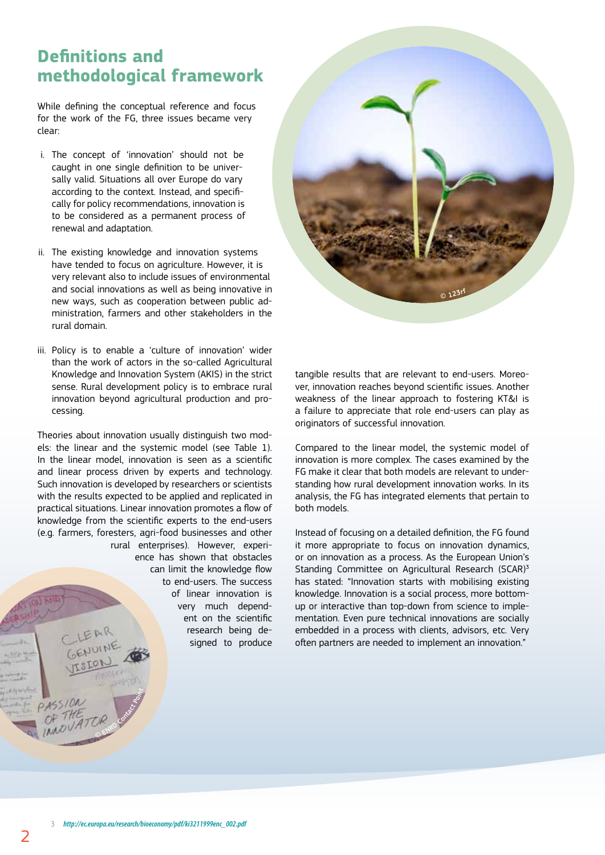### **Definitions and methodological framework**

While defining the conceptual reference and focus for the work of the FG, three issues became very clear:

- i. The concept of 'innovation' should not be caught in one single definition to be universally valid. Situations all over Europe do vary according to the context. Instead, and specifically for policy recommendations, innovation is to be considered as a permanent process of renewal and adaptation.
- ii. The existing knowledge and innovation systems have tended to focus on agriculture. However, it is very relevant also to include issues of environmental and social innovations as well as being innovative in new ways, such as cooperation between public administration, farmers and other stakeholders in the rural domain.
- iii. Policy is to enable a 'culture of innovation' wider than the work of actors in the so-called Agricultural Knowledge and Innovation System (AKIS) in the strict sense. Rural development policy is to embrace rural innovation beyond agricultural production and processing.

Theories about innovation usually distinguish two models: the linear and the systemic model (see Table 1). In the linear model, innovation is seen as a scientific and linear process driven by experts and technology. Such innovation is developed by researchers or scientists with the results expected to be applied and replicated in practical situations. Linear innovation promotes a flow of knowledge from the scientific experts to the end-users (e.g. farmers, foresters, agri-food businesses and other rural enterprises). However, experience has shown that obstacles can limit the knowledge flow to end-users. The success of linear innovation is very much dependent on the scientific research being designed to produce



tangible results that are relevant to end-users. Moreover, innovation reaches beyond scientific issues. Another weakness of the linear approach to fostering KT&I is a failure to appreciate that role end-users can play as originators of successful innovation.

Compared to the linear model, the systemic model of innovation is more complex. The cases examined by the FG make it clear that both models are relevant to understanding how rural development innovation works. In its analysis, the FG has integrated elements that pertain to both models.

Instead of focusing on a detailed definition, the FG found it more appropriate to focus on innovation dynamics, or on innovation as a process. As the European Union's Standing Committee on Agricultural Research (SCAR)<sup>3</sup> has stated: "Innovation starts with mobilising existing knowledge. Innovation is a social process, more bottomup or interactive than top-down from science to implementation. Even pure technical innovations are socially embedded in a process with clients, advisors, etc. Very often partners are needed to implement an innovation."

©

ENRD Contact Point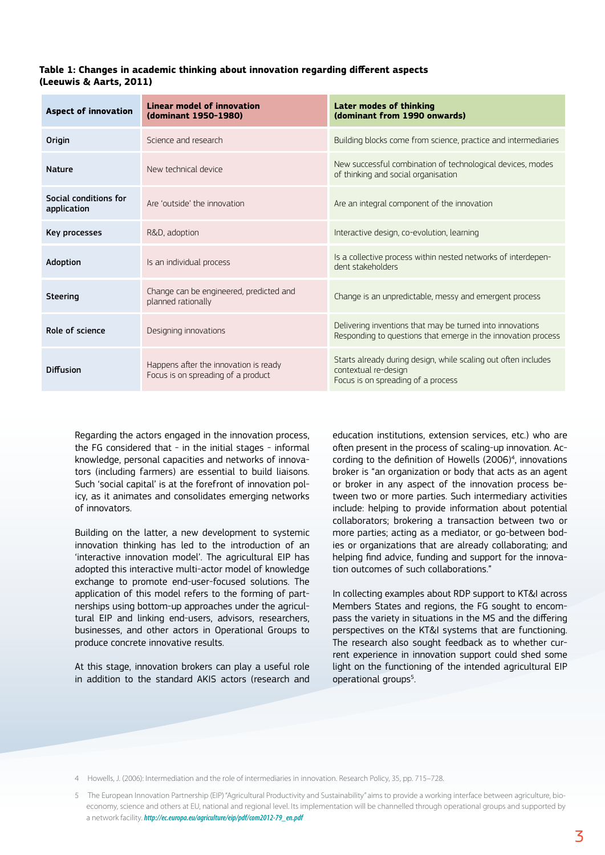#### **Table 1: Changes in academic thinking about innovation regarding different aspects (Leeuwis & Aarts, 2011)**

| <b>Aspect of innovation</b>          | Linear model of innovation<br>(dominant 1950-1980)                          | <b>Later modes of thinking</b><br>(dominant from 1990 onwards)                                                               |
|--------------------------------------|-----------------------------------------------------------------------------|------------------------------------------------------------------------------------------------------------------------------|
| Origin                               | Science and research                                                        | Building blocks come from science, practice and intermediaries                                                               |
| <b>Nature</b>                        | New technical device                                                        | New successful combination of technological devices, modes<br>of thinking and social organisation                            |
| Social conditions for<br>application | Are 'outside' the innovation                                                | Are an integral component of the innovation                                                                                  |
| Key processes                        | R&D, adoption                                                               | Interactive design, co-evolution, learning                                                                                   |
| Adoption                             | Is an individual process                                                    | Is a collective process within nested networks of interdepen-<br>dent stakeholders                                           |
| Steering                             | Change can be engineered, predicted and<br>planned rationally               | Change is an unpredictable, messy and emergent process                                                                       |
| Role of science                      | Designing innovations                                                       | Delivering inventions that may be turned into innovations<br>Responding to questions that emerge in the innovation process   |
| Diffusion                            | Happens after the innovation is ready<br>Focus is on spreading of a product | Starts already during design, while scaling out often includes<br>contextual re-design<br>Focus is on spreading of a process |

Regarding the actors engaged in the innovation process, the FG considered that - in the initial stages - informal knowledge, personal capacities and networks of innovators (including farmers) are essential to build liaisons. Such 'social capital' is at the forefront of innovation policy, as it animates and consolidates emerging networks of innovators.

Building on the latter, a new development to systemic innovation thinking has led to the introduction of an 'interactive innovation model'. The agricultural EIP has adopted this interactive multi-actor model of knowledge exchange to promote end-user-focused solutions. The application of this model refers to the forming of partnerships using bottom-up approaches under the agricultural EIP and linking end-users, advisors, researchers, businesses, and other actors in Operational Groups to produce concrete innovative results.

At this stage, innovation brokers can play a useful role in addition to the standard AKIS actors (research and education institutions, extension services, etc.) who are often present in the process of scaling-up innovation. According to the definition of Howells (2006)<sup>4</sup>, innovations broker is "an organization or body that acts as an agent or broker in any aspect of the innovation process between two or more parties. Such intermediary activities include: helping to provide information about potential collaborators; brokering a transaction between two or more parties; acting as a mediator, or go-between bodies or organizations that are already collaborating; and helping find advice, funding and support for the innovation outcomes of such collaborations."

In collecting examples about RDP support to KT&I across Members States and regions, the FG sought to encompass the variety in situations in the MS and the differing perspectives on the KT&I systems that are functioning. The research also sought feedback as to whether current experience in innovation support could shed some light on the functioning of the intended agricultural EIP operational groups<sup>5</sup>. .

4 Howells, J. (2006): Intermediation and the role of intermediaries in innovation. Research Policy, 35, pp. 715–728.

<sup>5</sup> The European Innovation Partnership (EIP) "Agricultural Productivity and Sustainability" aims to provide a working interface between agriculture, bioeconomy, science and others at EU, national and regional level. Its implementation will be channelled through operational groups and supported by a network facility. *[http://ec.europa.eu/agriculture/eip/pdf/com2012-79\\_en.pdf](http://ec.europa.eu/agriculture/eip/pdf/com2012-79_en.pdf)*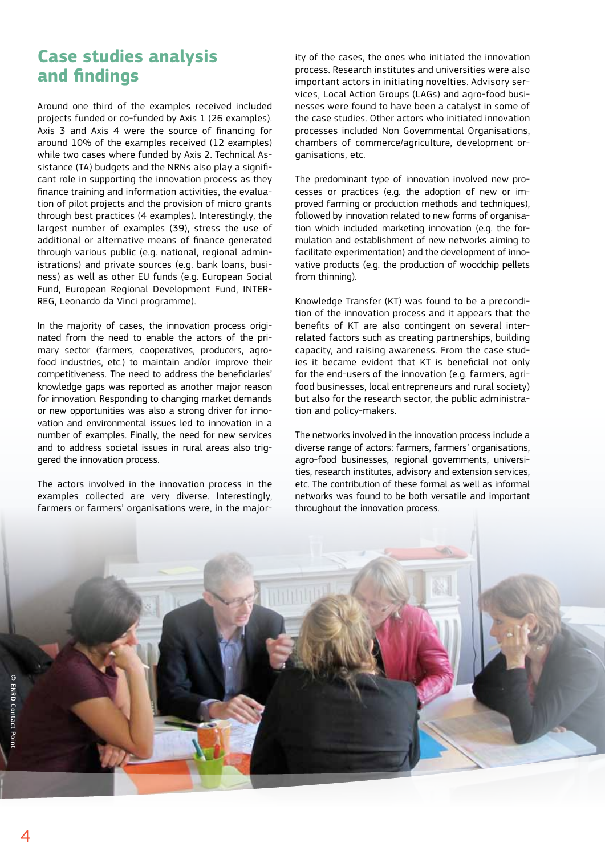### **Case studies analysis and findings**

Around one third of the examples received included projects funded or co-funded by Axis 1 (26 examples). Axis 3 and Axis 4 were the source of financing for around 10% of the examples received (12 examples) while two cases where funded by Axis 2. Technical Assistance (TA) budgets and the NRNs also play a significant role in supporting the innovation process as they finance training and information activities, the evaluation of pilot projects and the provision of micro grants through best practices (4 examples). Interestingly, the largest number of examples (39), stress the use of additional or alternative means of finance generated through various public (e.g. national, regional administrations) and private sources (e.g. bank loans, business) as well as other EU funds (e.g. European Social Fund, European Regional Development Fund, INTER-REG, Leonardo da Vinci programme).

In the majority of cases, the innovation process originated from the need to enable the actors of the primary sector (farmers, cooperatives, producers, agrofood industries, etc.) to maintain and/or improve their competitiveness. The need to address the beneficiaries' knowledge gaps was reported as another major reason for innovation. Responding to changing market demands or new opportunities was also a strong driver for innovation and environmental issues led to innovation in a number of examples. Finally, the need for new services and to address societal issues in rural areas also triggered the innovation process.

The actors involved in the innovation process in the examples collected are very diverse. Interestingly, farmers or farmers' organisations were, in the majority of the cases, the ones who initiated the innovation process. Research institutes and universities were also important actors in initiating novelties. Advisory services, Local Action Groups (LAGs) and agro-food businesses were found to have been a catalyst in some of the case studies. Other actors who initiated innovation processes included Non Governmental Organisations, chambers of commerce/agriculture, development organisations, etc.

The predominant type of innovation involved new processes or practices (e.g. the adoption of new or improved farming or production methods and techniques), followed by innovation related to new forms of organisation which included marketing innovation (e.g. the formulation and establishment of new networks aiming to facilitate experimentation) and the development of innovative products (e.g. the production of woodchip pellets from thinning).

Knowledge Transfer (KT) was found to be a precondition of the innovation process and it appears that the benefits of KT are also contingent on several interrelated factors such as creating partnerships, building capacity, and raising awareness. From the case studies it became evident that KT is beneficial not only for the end-users of the innovation (e.g. farmers, agrifood businesses, local entrepreneurs and rural society) but also for the research sector, the public administration and policy-makers.

The networks involved in the innovation process include a diverse range of actors: farmers, farmers' organisations, agro-food businesses, regional governments, universities, research institutes, advisory and extension services, etc. The contribution of these formal as well as informal networks was found to be both versatile and important throughout the innovation process.

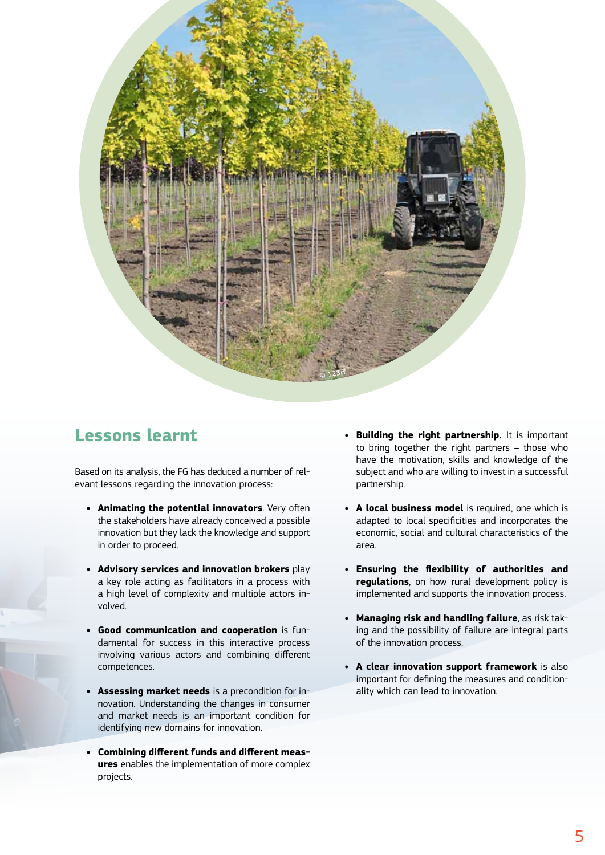

### **Lessons learnt**

Based on its analysis, the FG has deduced a number of relevant lessons regarding the innovation process:

- **• Animating the potential innovators**. Very often the stakeholders have already conceived a possible innovation but they lack the knowledge and support in order to proceed.
- **• Advisory services and innovation brokers** play a key role acting as facilitators in a process with a high level of complexity and multiple actors involved.
- **• Good communication and cooperation** is fundamental for success in this interactive process involving various actors and combining different competences.
- **• Assessing market needs** is a precondition for innovation. Understanding the changes in consumer and market needs is an important condition for identifying new domains for innovation.
- **• Combining different funds and different measures** enables the implementation of more complex projects.
- **• Building the right partnership.** It is important to bring together the right partners – those who have the motivation, skills and knowledge of the subject and who are willing to invest in a successful partnership.
- **• A local business model** is required, one which is adapted to local specificities and incorporates the economic, social and cultural characteristics of the area.
- **• Ensuring the flexibility of authorities and regulations**, on how rural development policy is implemented and supports the innovation process.
- **• Managing risk and handling failure**, as risk taking and the possibility of failure are integral parts of the innovation process.
- **• A clear innovation support framework** is also important for defining the measures and conditionality which can lead to innovation.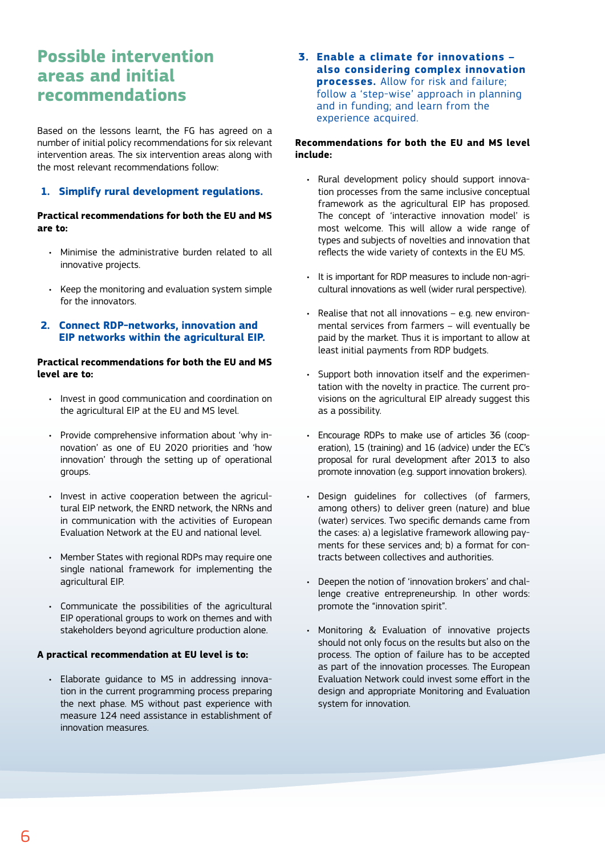### **Possible intervention areas and initial recommendations**

Based on the lessons learnt, the FG has agreed on a number of initial policy recommendations for six relevant intervention areas. The six intervention areas along with the most relevant recommendations follow:

#### **1. Simplify rural development regulations.**

#### **Practical recommendations for both the EU and MS are to:**

- • Minimise the administrative burden related to all innovative projects.
- • Keep the monitoring and evaluation system simple for the innovators.
- **2. Connect RDP-networks, innovation and EIP networks within the agricultural EIP.**

#### **Practical recommendations for both the EU and MS level are to:**

- Invest in good communication and coordination on the agricultural EIP at the EU and MS level.
- • Provide comprehensive information about 'why innovation' as one of EU 2020 priorities and 'how innovation' through the setting up of operational groups.
- Invest in active cooperation between the agricultural EIP network, the ENRD network, the NRNs and in communication with the activities of European Evaluation Network at the EU and national level.
- Member States with regional RDPs may require one single national framework for implementing the agricultural EIP.
- • Communicate the possibilities of the agricultural EIP operational groups to work on themes and with stakeholders beyond agriculture production alone.

#### **A practical recommendation at EU level is to:**

• Elaborate guidance to MS in addressing innovation in the current programming process preparing the next phase. MS without past experience with measure 124 need assistance in establishment of innovation measures.

**3. Enable a climate for innovations – also considering complex innovation processes.** Allow for risk and failure; follow a 'step-wise' approach in planning and in funding; and learn from the experience acquired.

#### **Recommendations for both the EU and MS level include:**

- Rural development policy should support innovation processes from the same inclusive conceptual framework as the agricultural EIP has proposed. The concept of 'interactive innovation model' is most welcome. This will allow a wide range of types and subjects of novelties and innovation that reflects the wide variety of contexts in the EU MS.
- • It is important for RDP measures to include non-agricultural innovations as well (wider rural perspective).
- $\cdot$  Realise that not all innovations e.g. new environmental services from farmers – will eventually be paid by the market. Thus it is important to allow at least initial payments from RDP budgets.
- Support both innovation itself and the experimentation with the novelty in practice. The current provisions on the agricultural EIP already suggest this as a possibility.
- • Encourage RDPs to make use of articles 36 (cooperation), 15 (training) and 16 (advice) under the EC's proposal for rural development after 2013 to also promote innovation (e.g. support innovation brokers).
- Design quidelines for collectives (of farmers, among others) to deliver green (nature) and blue (water) services. Two specific demands came from the cases: a) a legislative framework allowing payments for these services and; b) a format for contracts between collectives and authorities.
- Deepen the notion of 'innovation brokers' and challenge creative entrepreneurship. In other words: promote the "innovation spirit".
- • Monitoring & Evaluation of innovative projects should not only focus on the results but also on the process. The option of failure has to be accepted as part of the innovation processes. The European Evaluation Network could invest some effort in the design and appropriate Monitoring and Evaluation system for innovation.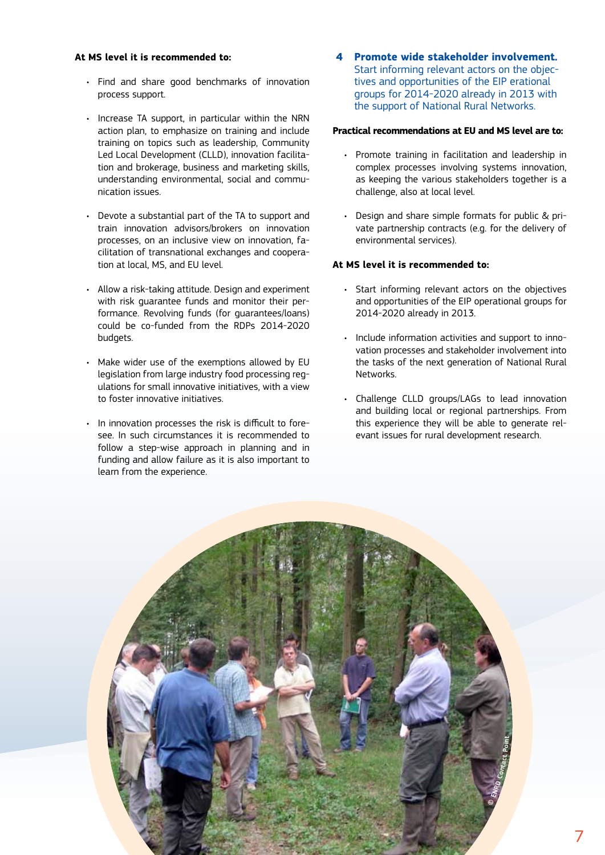#### **At MS level it is recommended to:**

- • Find and share good benchmarks of innovation process support.
- Increase TA support, in particular within the NRN action plan, to emphasize on training and include training on topics such as leadership, Community Led Local Development (CLLD), innovation facilitation and brokerage, business and marketing skills, understanding environmental, social and communication issues.
- • Devote a substantial part of the TA to support and train innovation advisors/brokers on innovation processes, on an inclusive view on innovation, facilitation of transnational exchanges and cooperation at local, MS, and EU level.
- • Allow a risk-taking attitude. Design and experiment with risk guarantee funds and monitor their performance. Revolving funds (for guarantees/loans) could be co-funded from the RDPs 2014-2020 budgets.
- Make wider use of the exemptions allowed by EU legislation from large industry food processing regulations for small innovative initiatives, with a view to foster innovative initiatives.
- • In innovation processes the risk is difficult to foresee. In such circumstances it is recommended to follow a step-wise approach in planning and in funding and allow failure as it is also important to learn from the experience.

**4 Promote wide stakeholder involvement.** Start informing relevant actors on the objectives and opportunities of the EIP erational groups for 2014-2020 already in 2013 with the support of National Rural Networks.

#### **Practical recommendations at EU and MS level are to:**

- • Promote training in facilitation and leadership in complex processes involving systems innovation, as keeping the various stakeholders together is a challenge, also at local level.
- • Design and share simple formats for public & private partnership contracts (e.g. for the delivery of environmental services).

#### **At MS level it is recommended to:**

- • Start informing relevant actors on the objectives and opportunities of the EIP operational groups for 2014-2020 already in 2013.
- Include information activities and support to innovation processes and stakeholder involvement into the tasks of the next generation of National Rural **Networks**
- • Challenge CLLD groups/LAGs to lead innovation and building local or regional partnerships. From this experience they will be able to generate relevant issues for rural development research.